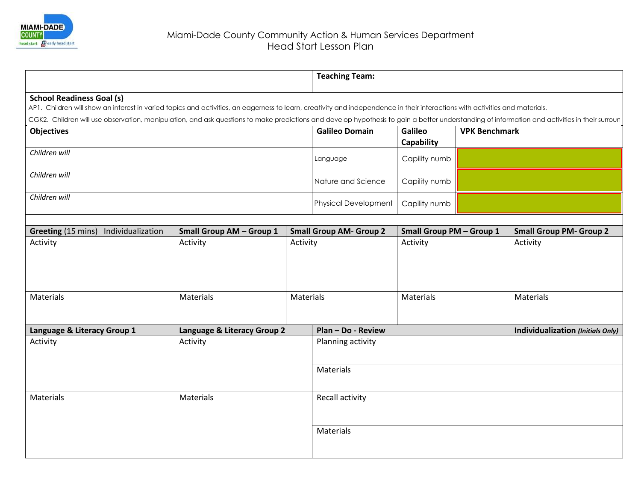

|                                                                                                                                                                                               |                                 |                                            | <b>Teaching Team:</b>       |                                             |  |                                   |  |  |
|-----------------------------------------------------------------------------------------------------------------------------------------------------------------------------------------------|---------------------------------|--------------------------------------------|-----------------------------|---------------------------------------------|--|-----------------------------------|--|--|
| <b>School Readiness Goal (s)</b>                                                                                                                                                              |                                 |                                            |                             |                                             |  |                                   |  |  |
| AP1. Children will show an interest in varied topics and activities, an eagerness to learn, creativity and independence in their interactions with activities and materials.                  |                                 |                                            |                             |                                             |  |                                   |  |  |
| CGK2. Children will use observation, manipulation, and ask questions to make predictions and develop hypothesis to gain a better understanding of information and activities in their surrour |                                 |                                            |                             |                                             |  |                                   |  |  |
| <b>Objectives</b>                                                                                                                                                                             | <b>Galileo Domain</b>           | Galileo<br><b>Capability</b>               | <b>VPK Benchmark</b>        |                                             |  |                                   |  |  |
| Children will                                                                                                                                                                                 | Language                        | Capility numb                              |                             |                                             |  |                                   |  |  |
| Children will                                                                                                                                                                                 | Nature and Science              | Capility numb                              |                             |                                             |  |                                   |  |  |
| Children will                                                                                                                                                                                 |                                 |                                            | <b>Physical Development</b> | Capility numb                               |  |                                   |  |  |
|                                                                                                                                                                                               | <b>Small Group AM - Group 1</b> |                                            |                             |                                             |  | <b>Small Group PM- Group 2</b>    |  |  |
| Greeting (15 mins) Individualization<br>Activity                                                                                                                                              | Activity                        | <b>Small Group AM- Group 2</b><br>Activity |                             | <b>Small Group PM - Group 1</b><br>Activity |  | Activity                          |  |  |
| Materials                                                                                                                                                                                     | Materials                       | Materials                                  |                             | Materials                                   |  | Materials                         |  |  |
| Language & Literacy Group 1                                                                                                                                                                   | Language & Literacy Group 2     | Plan - Do - Review                         |                             |                                             |  | Individualization (Initials Only) |  |  |
| Activity                                                                                                                                                                                      | Activity                        |                                            |                             | Planning activity                           |  |                                   |  |  |
|                                                                                                                                                                                               |                                 |                                            |                             |                                             |  |                                   |  |  |
|                                                                                                                                                                                               |                                 |                                            | Materials                   |                                             |  |                                   |  |  |
| Materials<br>Materials                                                                                                                                                                        |                                 |                                            | Recall activity             |                                             |  |                                   |  |  |
|                                                                                                                                                                                               |                                 |                                            | Materials                   |                                             |  |                                   |  |  |
|                                                                                                                                                                                               |                                 |                                            |                             |                                             |  |                                   |  |  |